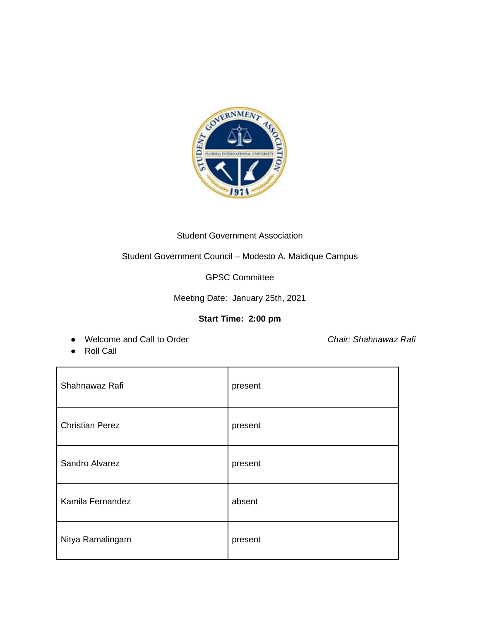

## Student Government Association

Student Government Council – Modesto A. Maidique Campus

GPSC Committee

Meeting Date: January 25th, 2021

# **Start Time: 2:00 pm**

● Welcome and Call to Order *Chair: Shahnawaz Rafi*

● Roll Call

| Shahnawaz Rafi         | present |
|------------------------|---------|
| <b>Christian Perez</b> | present |
| Sandro Alvarez         | present |
| Kamila Fernandez       | absent  |
| Nitya Ramalingam       | present |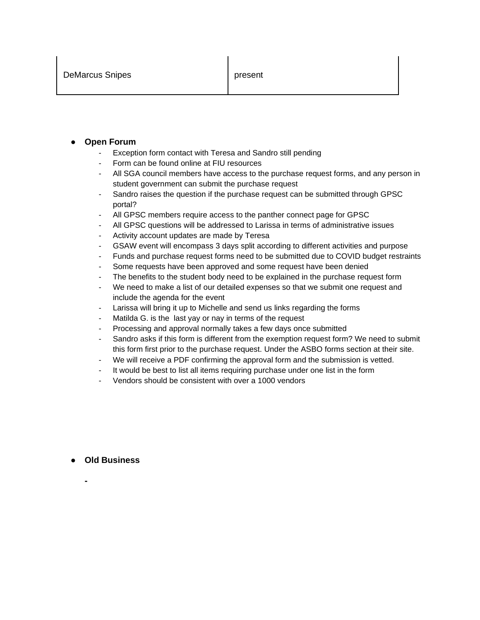### **Open Forum**

- Exception form contact with Teresa and Sandro still pending
- Form can be found online at FIU resources
- All SGA council members have access to the purchase request forms, and any person in student government can submit the purchase request
- Sandro raises the question if the purchase request can be submitted through GPSC portal?
- All GPSC members require access to the panther connect page for GPSC
- All GPSC questions will be addressed to Larissa in terms of administrative issues
- Activity account updates are made by Teresa
- GSAW event will encompass 3 days split according to different activities and purpose
- Funds and purchase request forms need to be submitted due to COVID budget restraints
- Some requests have been approved and some request have been denied
- The benefits to the student body need to be explained in the purchase request form
- We need to make a list of our detailed expenses so that we submit one request and include the agenda for the event
- Larissa will bring it up to Michelle and send us links regarding the forms
- Matilda G. is the last yay or nay in terms of the request
- Processing and approval normally takes a few days once submitted
- Sandro asks if this form is different from the exemption request form? We need to submit this form first prior to the purchase request. Under the ASBO forms section at their site.
- We will receive a PDF confirming the approval form and the submission is vetted.
- It would be best to list all items requiring purchase under one list in the form
- Vendors should be consistent with over a 1000 vendors

#### ● **Old Business**

**-**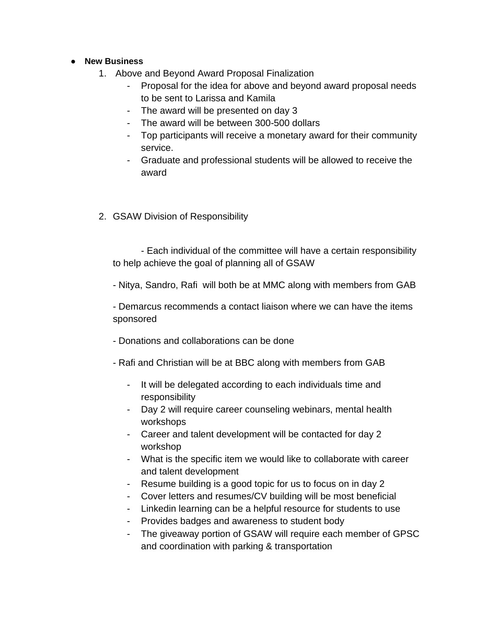## ● **New Business**

- 1. Above and Beyond Award Proposal Finalization
	- Proposal for the idea for above and beyond award proposal needs to be sent to Larissa and Kamila
	- The award will be presented on day 3
	- The award will be between 300-500 dollars
	- Top participants will receive a monetary award for their community service.
	- Graduate and professional students will be allowed to receive the award
- 2. GSAW Division of Responsibility

- Each individual of the committee will have a certain responsibility to help achieve the goal of planning all of GSAW

- Nitya, Sandro, Rafi will both be at MMC along with members from GAB

- Demarcus recommends a contact liaison where we can have the items sponsored

- Donations and collaborations can be done
- Rafi and Christian will be at BBC along with members from GAB
	- It will be delegated according to each individuals time and responsibility
	- Day 2 will require career counseling webinars, mental health workshops
	- Career and talent development will be contacted for day 2 workshop
	- What is the specific item we would like to collaborate with career and talent development
	- Resume building is a good topic for us to focus on in day 2
	- Cover letters and resumes/CV building will be most beneficial
	- Linkedin learning can be a helpful resource for students to use
	- Provides badges and awareness to student body
	- The giveaway portion of GSAW will require each member of GPSC and coordination with parking & transportation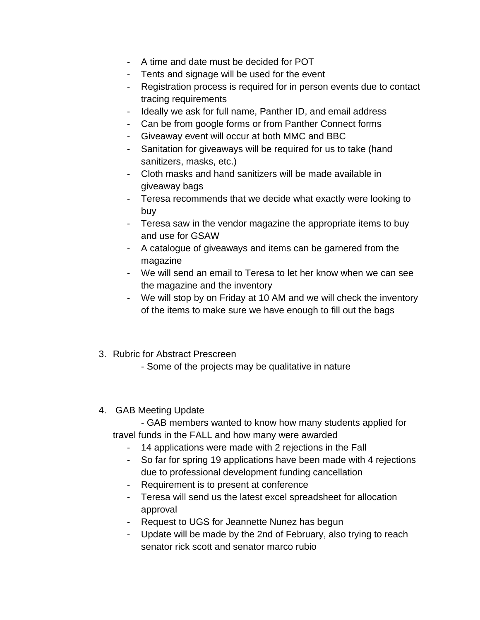- A time and date must be decided for POT
- Tents and signage will be used for the event
- Registration process is required for in person events due to contact tracing requirements
- Ideally we ask for full name, Panther ID, and email address
- Can be from google forms or from Panther Connect forms
- Giveaway event will occur at both MMC and BBC
- Sanitation for giveaways will be required for us to take (hand sanitizers, masks, etc.)
- Cloth masks and hand sanitizers will be made available in giveaway bags
- Teresa recommends that we decide what exactly were looking to buy
- Teresa saw in the vendor magazine the appropriate items to buy and use for GSAW
- A catalogue of giveaways and items can be garnered from the magazine
- We will send an email to Teresa to let her know when we can see the magazine and the inventory
- We will stop by on Friday at 10 AM and we will check the inventory of the items to make sure we have enough to fill out the bags
- 3. Rubric for Abstract Prescreen
	- Some of the projects may be qualitative in nature
- 4. GAB Meeting Update
	- GAB members wanted to know how many students applied for travel funds in the FALL and how many were awarded
		- 14 applications were made with 2 rejections in the Fall
		- So far for spring 19 applications have been made with 4 rejections due to professional development funding cancellation
		- Requirement is to present at conference
		- Teresa will send us the latest excel spreadsheet for allocation approval
		- Request to UGS for Jeannette Nunez has begun
		- Update will be made by the 2nd of February, also trying to reach senator rick scott and senator marco rubio